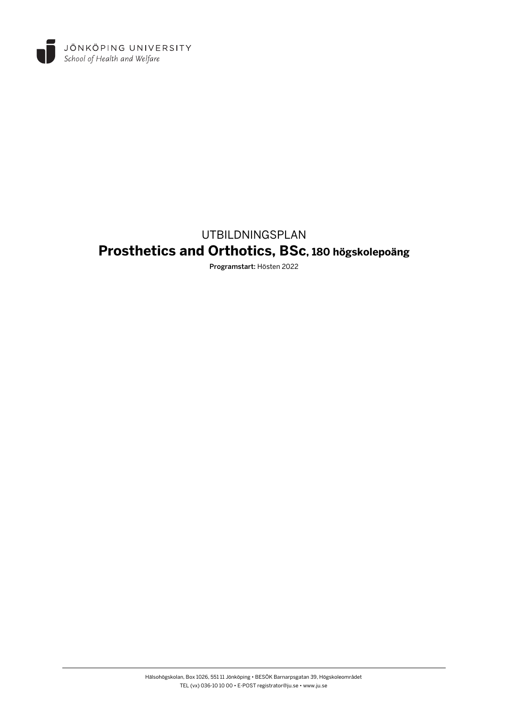

# UTBILDNINGSPLAN **Prosthetics and Orthotics, BSc, 180 högskolepoäng**

Programstart: Hösten 2022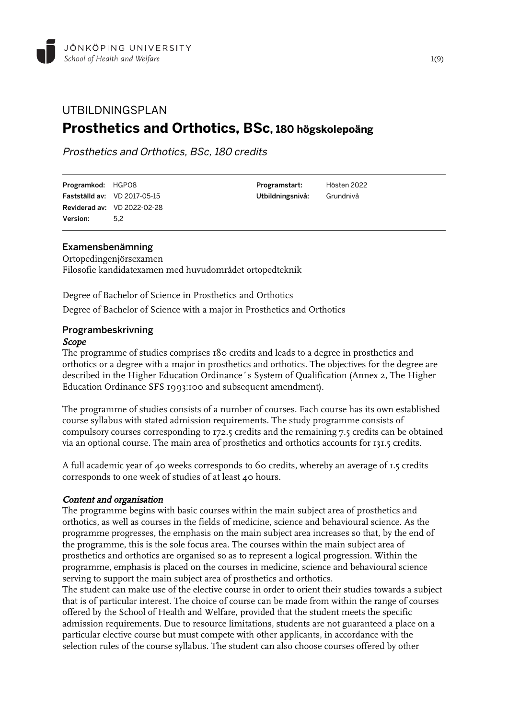## UTBILDNINGSPLAN **Prosthetics and Orthotics, BSc, 180 högskolepoäng**

Prosthetics and Orthotics, BSc, 180 credits

| Programkod: HGPO8 |                                     |
|-------------------|-------------------------------------|
|                   | <b>Fastställd av:</b> VD 2017-05-15 |
|                   | <b>Reviderad av: VD 2022-02-28</b>  |
| Version:          | 5.2                                 |

## Examensbenämning

Ortopedingenjörsexamen Filosofie kandidatexamen med huvudområdet ortopedteknik

Degree of Bachelor of Science in Prosthetics and Orthotics Degree of Bachelor of Science with a major in Prosthetics and Orthotics

#### Programbeskrivning Scope

The programme of studies comprises 180 credits and leads to a degree in prosthetics and orthotics or a degree with a major in prosthetics and orthotics. The objectives for the degree are described in the Higher Education Ordinance´s System of Qualification (Annex 2, The Higher Education Ordinance SFS 1993:100 and subsequent amendment).

Programstart: Hösten 2022 Utbildningsnivå: Grundnivå

The programme of studies consists of a number of courses. Each course has its own established course syllabus with stated admission requirements. The study programme consists of compulsory courses corresponding to 172.5 credits and the remaining 7.5 credits can be obtained via an optional course. The main area of prosthetics and orthotics accounts for 131.5 credits.

A full academic year of 40 weeks corresponds to 60 credits, whereby an average of 1.5 credits corresponds to one week of studies of at least 40 hours.

## Content and organisation

The programme begins with basic courses within the main subject area of prosthetics and orthotics, as well as courses in the fields of medicine, science and behavioural science. As the programme progresses, the emphasis on the main subject area increases so that, by the end of the programme, this is the sole focus area. The courses within the main subject area of prosthetics and orthotics are organised so as to represent a logical progression. Within the programme, emphasis is placed on the courses in medicine, science and behavioural science serving to support the main subject area of prosthetics and orthotics.

The student can make use of the elective course in order to orient their studies towards a subject that is of particular interest. The choice of course can be made from within the range of courses offered by the School of Health and Welfare, provided that the student meets the specific admission requirements. Due to resource limitations, students are not guaranteed a place on a particular elective course but must compete with other applicants, in accordance with the selection rules of the course syllabus. The student can also choose courses offered by other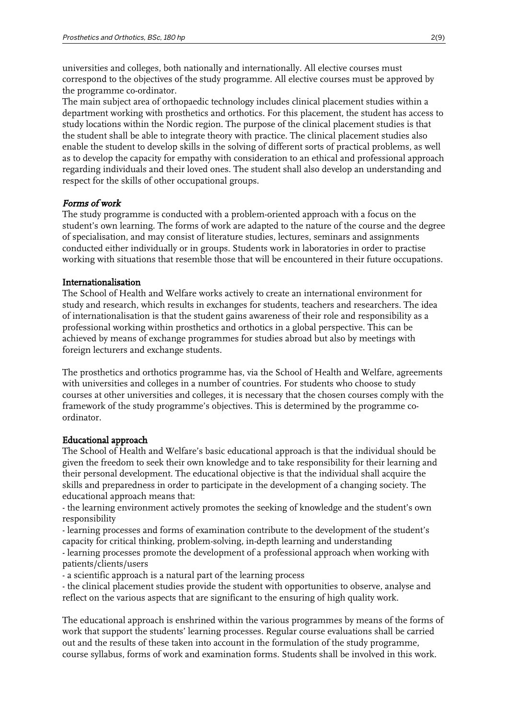universities and colleges, both nationally and internationally. All elective courses must correspond to the objectives of the study programme. All elective courses must be approved by the programme co-ordinator.

The main subject area of orthopaedic technology includes clinical placement studies within a department working with prosthetics and orthotics. For this placement, the student has access to study locations within the Nordic region. The purpose of the clinical placement studies is that the student shall be able to integrate theory with practice. The clinical placement studies also enable the student to develop skills in the solving of different sorts of practical problems, as well as to develop the capacity for empathy with consideration to an ethical and professional approach regarding individuals and their loved ones. The student shall also develop an understanding and respect for the skills of other occupational groups.

#### Forms of work

The study programme is conducted with a problem-oriented approach with a focus on the student's own learning. The forms of work are adapted to the nature of the course and the degree of specialisation, and may consist of literature studies, lectures, seminars and assignments conducted either individually or in groups. Students work in laboratories in order to practise working with situations that resemble those that will be encountered in their future occupations.

#### Internationalisation

The School of Health and Welfare works actively to create an international environment for study and research, which results in exchanges for students, teachers and researchers. The idea of internationalisation is that the student gains awareness of their role and responsibility as a professional working within prosthetics and orthotics in a global perspective. This can be achieved by means of exchange programmes for studies abroad but also by meetings with foreign lecturers and exchange students.

The prosthetics and orthotics programme has, via the School of Health and Welfare, agreements with universities and colleges in a number of countries. For students who choose to study courses at other universities and colleges, it is necessary that the chosen courses comply with the framework of the study programme's objectives. This is determined by the programme coordinator.

#### Educational approach

The School of Health and Welfare's basic educational approach is that the individual should be given the freedom to seek their own knowledge and to take responsibility for their learning and their personal development. The educational objective is that the individual shall acquire the skills and preparedness in order to participate in the development of a changing society. The educational approach means that:

- the learning environment actively promotes the seeking of knowledge and the student's own responsibility

- learning processes and forms of examination contribute to the development of the student's capacity for critical thinking, problem-solving, in-depth learning and understanding

- learning processes promote the development of a professional approach when working with patients/clients/users

- a scientific approach is a natural part of the learning process

- the clinical placement studies provide the student with opportunities to observe, analyse and reflect on the various aspects that are significant to the ensuring of high quality work.

The educational approach is enshrined within the various programmes by means of the forms of work that support the students' learning processes. Regular course evaluations shall be carried out and the results of these taken into account in the formulation of the study programme, course syllabus, forms of work and examination forms. Students shall be involved in this work.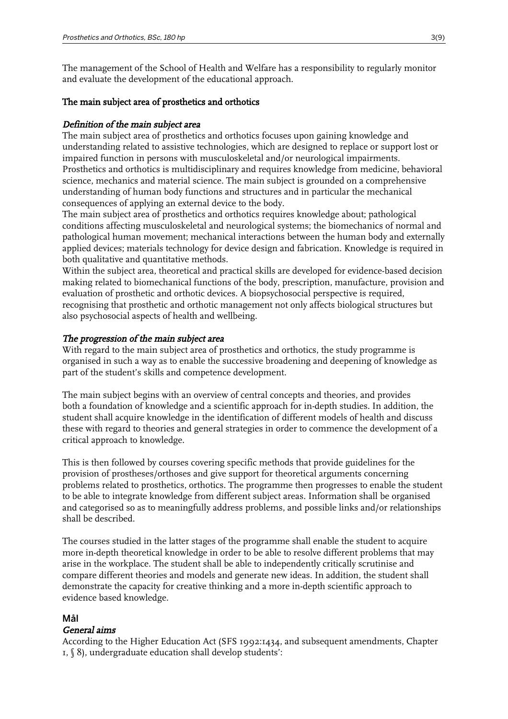The management of the School of Health and Welfare has a responsibility to regularly monitor and evaluate the development of the educational approach.

#### The main subject area of prosthetics and orthotics

#### Definition of the main subject area

The main subject area of prosthetics and orthotics focuses upon gaining knowledge and understanding related to assistive technologies, which are designed to replace or support lost or impaired function in persons with musculoskeletal and/or neurological impairments. Prosthetics and orthotics is multidisciplinary and requires knowledge from medicine, behavioral science, mechanics and material science. The main subject is grounded on a comprehensive understanding of human body functions and structures and in particular the mechanical consequences of applying an external device to the body.

The main subject area of prosthetics and orthotics requires knowledge about; pathological conditions affecting musculoskeletal and neurological systems; the biomechanics of normal and pathological human movement; mechanical interactions between the human body and externally applied devices; materials technology for device design and fabrication. Knowledge is required in both qualitative and quantitative methods.

Within the subject area, theoretical and practical skills are developed for evidence-based decision making related to biomechanical functions of the body, prescription, manufacture, provision and evaluation of prosthetic and orthotic devices. A biopsychosocial perspective is required, recognising that prosthetic and orthotic management not only affects biological structures but also psychosocial aspects of health and wellbeing.

#### The progression of the main subject area

With regard to the main subject area of prosthetics and orthotics, the study programme is organised in such a way as to enable the successive broadening and deepening of knowledge as part of the student's skills and competence development.

The main subject begins with an overview of central concepts and theories, and provides both a foundation of knowledge and a scientific approach for in-depth studies. In addition, the student shall acquire knowledge in the identification of different models of health and discuss these with regard to theories and general strategies in order to commence the development of a critical approach to knowledge.

This is then followed by courses covering specific methods that provide guidelines for the provision of prostheses/orthoses and give support for theoretical arguments concerning problems related to prosthetics, orthotics. The programme then progresses to enable the student to be able to integrate knowledge from different subject areas. Information shall be organised and categorised so as to meaningfully address problems, and possible links and/or relationships shall be described.

The courses studied in the latter stages of the programme shall enable the student to acquire more in-depth theoretical knowledge in order to be able to resolve different problems that may arise in the workplace. The student shall be able to independently critically scrutinise and compare different theories and models and generate new ideas. In addition, the student shall demonstrate the capacity for creative thinking and a more in-depth scientific approach to evidence based knowledge.

#### Mål

#### General aims

According to the Higher Education Act (SFS 1992:1434, and subsequent amendments, Chapter 1, § 8), undergraduate education shall develop students':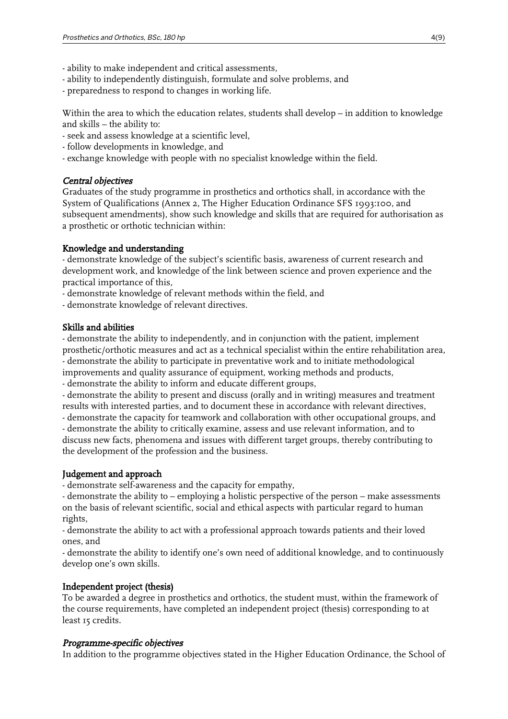- ability to make independent and critical assessments,
- ability to independently distinguish, formulate and solve problems, and
- preparedness to respond to changes in working life.

Within the area to which the education relates, students shall develop – in addition to knowledge and skills – the ability to:

- seek and assess knowledge at a scientific level,
- follow developments in knowledge, and
- exchange knowledge with people with no specialist knowledge within the field.

## Central objectives

Graduates of the study programme in prosthetics and orthotics shall, in accordance with the System of Qualifications (Annex 2, The Higher Education Ordinance SFS 1993:100, and subsequent amendments), show such knowledge and skills that are required for authorisation as a prosthetic or orthotic technician within:

## Knowledge and understanding

- demonstrate knowledge of the subject's scientific basis, awareness of current research and development work, and knowledge of the link between science and proven experience and the practical importance of this,

- demonstrate knowledge of relevant methods within the field, and

- demonstrate knowledge of relevant directives.

## Skills and abilities

- demonstrate the ability to independently, and in conjunction with the patient, implement prosthetic/orthotic measures and act as a technical specialist within the entire rehabilitation area, - demonstrate the ability to participate in preventative work and to initiate methodological improvements and quality assurance of equipment, working methods and products,

- demonstrate the ability to inform and educate different groups,

- demonstrate the ability to present and discuss (orally and in writing) measures and treatment results with interested parties, and to document these in accordance with relevant directives,

- demonstrate the capacity for teamwork and collaboration with other occupational groups, and

- demonstrate the ability to critically examine, assess and use relevant information, and to discuss new facts, phenomena and issues with different target groups, thereby contributing to the development of the profession and the business.

## Judgement and approach

- demonstrate self-awareness and the capacity for empathy,

- demonstrate the ability to – employing a holistic perspective of the person – make assessments on the basis of relevant scientific, social and ethical aspects with particular regard to human rights,

- demonstrate the ability to act with a professional approach towards patients and their loved ones, and

- demonstrate the ability to identify one's own need of additional knowledge, and to continuously develop one's own skills.

## Independent project (thesis)

To be awarded a degree in prosthetics and orthotics, the student must, within the framework of the course requirements, have completed an independent project (thesis) corresponding to at least 15 credits.

## Programme-specific objectives

In addition to the programme objectives stated in the Higher Education Ordinance, the School of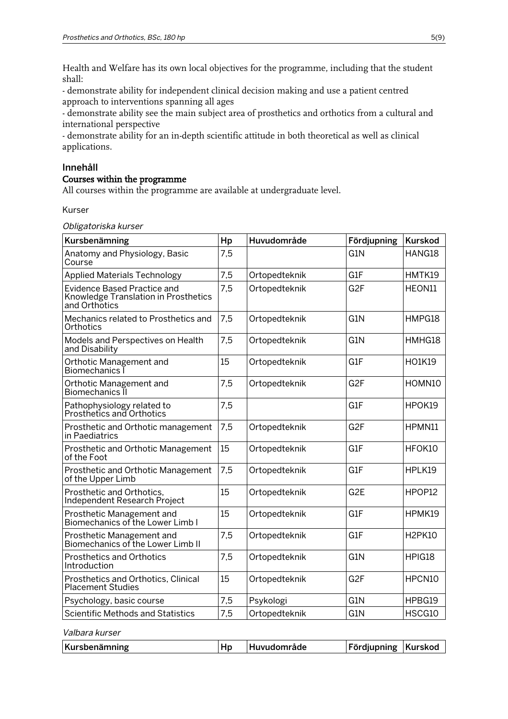Health and Welfare has its own local objectives for the programme, including that the student shall:

- demonstrate ability for independent clinical decision making and use a patient centred approach to interventions spanning all ages

- demonstrate ability see the main subject area of prosthetics and orthotics from a cultural and international perspective

- demonstrate ability for an in-depth scientific attitude in both theoretical as well as clinical applications.

## Innehåll

## Courses within the programme

All courses within the programme are available at undergraduate level.

Kurser

Obligatoriska kurser

| Kursbenämning                                                                               | Hp  | Huvudområde   | Fördjupning      | <b>Kurskod</b> |
|---------------------------------------------------------------------------------------------|-----|---------------|------------------|----------------|
| Anatomy and Physiology, Basic<br>Course                                                     | 7,5 |               | G1N              | HANG18         |
| <b>Applied Materials Technology</b>                                                         | 7,5 | Ortopedteknik | G1F              | HMTK19         |
| <b>Evidence Based Practice and</b><br>Knowledge Translation in Prosthetics<br>and Orthotics | 7,5 | Ortopedteknik | G <sub>2F</sub>  | HEON11         |
| Mechanics related to Prosthetics and<br>Orthotics                                           | 7,5 | Ortopedteknik | G1N              | HMPG18         |
| Models and Perspectives on Health<br>and Disability                                         | 7,5 | Ortopedteknik | G <sub>1</sub> N | HMHG18         |
| Orthotic Management and<br>Biomechanics I                                                   | 15  | Ortopedteknik | G1F              | HO1K19         |
| Orthotic Management and<br>Biomechanics II                                                  | 7,5 | Ortopedteknik | G <sub>2F</sub>  | HOMN10         |
| Pathophysiology related to<br>Prosthetics and Orthotics                                     | 7,5 |               | G1F              | HPOK19         |
| Prosthetic and Orthotic management<br>in Paediatrics                                        | 7,5 | Ortopedteknik | G <sub>2F</sub>  | HPMN11         |
| Prosthetic and Orthotic Management<br>of the Foot                                           | 15  | Ortopedteknik | G1F              | HFOK10         |
| Prosthetic and Orthotic Management<br>of the Upper Limb                                     | 7,5 | Ortopedteknik | G1F              | HPLK19         |
| Prosthetic and Orthotics.<br>Independent Research Project                                   | 15  | Ortopedteknik | G <sub>2E</sub>  | HPOP12         |
| Prosthetic Management and<br>Biomechanics of the Lower Limb I                               | 15  | Ortopedteknik | G1F              | HPMK19         |
| Prosthetic Management and<br>Biomechanics of the Lower Limb II                              | 7,5 | Ortopedteknik | G1F              | <b>H2PK10</b>  |
| <b>Prosthetics and Orthotics</b><br>Introduction                                            | 7,5 | Ortopedteknik | G1N              | HPIG18         |
| Prosthetics and Orthotics, Clinical<br><b>Placement Studies</b>                             | 15  | Ortopedteknik | G <sub>2F</sub>  | HPCN10         |
| Psychology, basic course                                                                    | 7,5 | Psykologi     | G1N              | HPBG19         |
| <b>Scientific Methods and Statistics</b>                                                    | 7,5 | Ortopedteknik | G1N              | HSCG10         |

Valbara kurser

| Kursbenämning | HD | <b>'Huvudområde</b> | <b>Fördjupning</b> | ⊺Kurskod |
|---------------|----|---------------------|--------------------|----------|
|---------------|----|---------------------|--------------------|----------|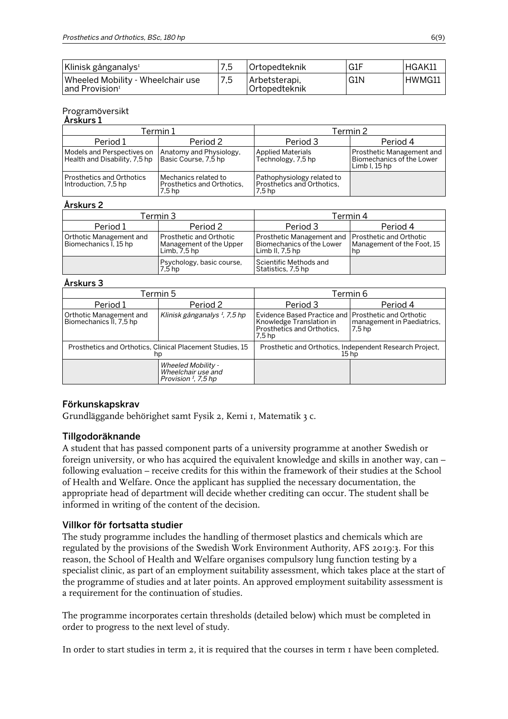| Klinisk gånganalys <sup>1</sup>                                 |     | Ortopedteknik                  | G1F | HGAK11 |
|-----------------------------------------------------------------|-----|--------------------------------|-----|--------|
| Wheeled Mobility - Wheelchair use<br>and Provision <sup>1</sup> | 7,5 | Arbetsterapi,<br>Ortopedteknik | G1N | HWMG11 |

#### Programöversikt  $\delta$ rckurs 1

| AI SNUIS 1                                                  |                                                              |                                                                               |                                                                          |  |
|-------------------------------------------------------------|--------------------------------------------------------------|-------------------------------------------------------------------------------|--------------------------------------------------------------------------|--|
| Termin 1                                                    |                                                              | Termin 2                                                                      |                                                                          |  |
| Period 1                                                    | Period 2                                                     | Period 3                                                                      | Period 4                                                                 |  |
| Models and Perspectives on<br>Health and Disability, 7,5 hp | Anatomy and Physiology,<br>Basic Course, 7,5 hp              | <b>Applied Materials</b><br>Technology, 7,5 hp                                | Prosthetic Management and<br>Biomechanics of the Lower<br>Limb $l.15$ hp |  |
| Prosthetics and Orthotics<br>Introduction, 7,5 hp           | Mechanics related to<br>Prosthetics and Orthotics.<br>7.5 hp | Pathophysiology related to<br>Prosthetics and Orthotics,<br>7.5 <sub>hp</sub> |                                                                          |  |

## Årskurs 2

| Termin 3                                         |                                                                      | Termin 4                                                                                              |                                  |  |
|--------------------------------------------------|----------------------------------------------------------------------|-------------------------------------------------------------------------------------------------------|----------------------------------|--|
| Period 1                                         | Period 2                                                             | Period 3                                                                                              | Period 4                         |  |
| Orthotic Management and<br>Biomechanics I, 15 hp | Prosthetic and Orthotic<br>Management of the Upper<br>Limb, $7.5$ hp | Prosthetic Management and   Prosthetic and Orthotic<br>Biomechanics of the Lower<br>Limb II, $7.5$ hp | Management of the Foot, 15<br>hp |  |
|                                                  | Psychology, basic course,<br>7,5 hp                                  | Scientific Methods and<br>Statistics, 7,5 hp                                                          |                                  |  |

## Årskurs 3

| Termin 5                                                        |                                                                             | Termin 6                                                                                                                             |                                      |  |
|-----------------------------------------------------------------|-----------------------------------------------------------------------------|--------------------------------------------------------------------------------------------------------------------------------------|--------------------------------------|--|
| Period 1                                                        | Period 2                                                                    | Period 3                                                                                                                             | Period 4                             |  |
| Orthotic Management and<br>Biomechanics II, 7,5 hp              | Klinisk gånganalys <sup>I</sup> , 7,5 hp                                    | Evidence Based Practice and   Prosthetic and Orthotic<br>Knowledge Translation in<br>Prosthetics and Orthotics,<br>7.5 <sub>hp</sub> | management in Paediatrics.<br>7.5 hp |  |
| Prosthetics and Orthotics, Clinical Placement Studies, 15<br>hp |                                                                             | Prosthetic and Orthotics, Independent Research Project,<br>15 <sub>hp</sub>                                                          |                                      |  |
|                                                                 | Wheeled Mobility -<br>Wheelchair use and<br>Provision <sup>1</sup> , 7,5 hp |                                                                                                                                      |                                      |  |

## Förkunskapskrav

Grundläggande behörighet samt Fysik 2, Kemi 1, Matematik 3 c.

## Tillgodoräknande

A student that has passed component parts of a university programme at another Swedish or foreign university, or who has acquired the equivalent knowledge and skills in another way, can – following evaluation – receive credits for this within the framework of their studies at the School of Health and Welfare. Once the applicant has supplied the necessary documentation, the appropriate head of department will decide whether crediting can occur. The student shall be informed in writing of the content of the decision.

## Villkor för fortsatta studier

The study programme includes the handling of thermoset plastics and chemicals which are regulated by the provisions of the Swedish Work Environment Authority, AFS 2019:3. For this reason, the School of Health and Welfare organises compulsory lung function testing by a specialist clinic, as part of an employment suitability assessment, which takes place at the start of the programme of studies and at later points. An approved employment suitability assessment is a requirement for the continuation of studies.

The programme incorporates certain thresholds (detailed below) which must be completed in order to progress to the next level of study.

In order to start studies in term 2, it is required that the courses in term 1 have been completed.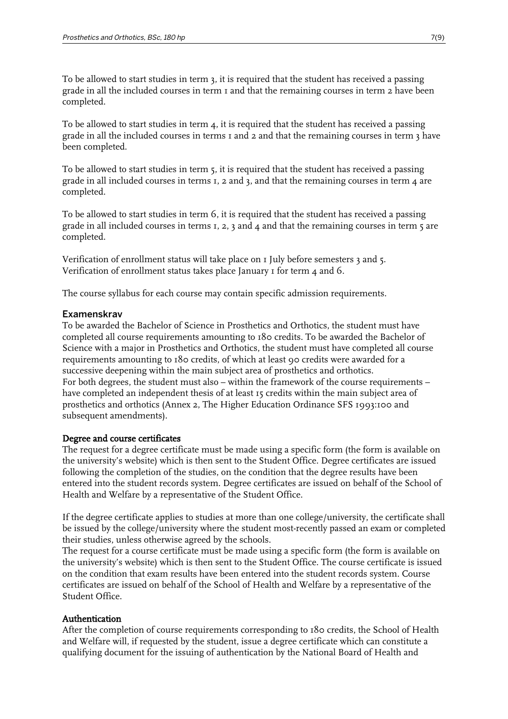To be allowed to start studies in term 3, it is required that the student has received a passing grade in all the included courses in term 1 and that the remaining courses in term 2 have been completed.

To be allowed to start studies in term  $4$ , it is required that the student has received a passing grade in all the included courses in terms 1 and 2 and that the remaining courses in term 3 have been completed.

To be allowed to start studies in term 5, it is required that the student has received a passing grade in all included courses in terms 1, 2 and 3, and that the remaining courses in term 4 are completed.

To be allowed to start studies in term 6, it is required that the student has received a passing grade in all included courses in terms  $I$ ,  $2$ ,  $3$  and  $4$  and that the remaining courses in term  $5$  are completed.

Verification of enrollment status will take place on 1 July before semesters 3 and 5. Verification of enrollment status takes place January I for term 4 and 6.

The course syllabus for each course may contain specific admission requirements.

#### Examenskrav

To be awarded the Bachelor of Science in Prosthetics and Orthotics, the student must have completed all course requirements amounting to 180 credits. To be awarded the Bachelor of Science with a major in Prosthetics and Orthotics, the student must have completed all course requirements amounting to 180 credits, of which at least 90 credits were awarded for a successive deepening within the main subject area of prosthetics and orthotics. For both degrees, the student must also – within the framework of the course requirements – have completed an independent thesis of at least 15 credits within the main subject area of prosthetics and orthotics (Annex 2, The Higher Education Ordinance SFS 1993:100 and subsequent amendments).

#### Degree and course certificates

The request for a degree certificate must be made using a specific form (the form is available on the university's website) which is then sent to the Student Office. Degree certificates are issued following the completion of the studies, on the condition that the degree results have been entered into the student records system. Degree certificates are issued on behalf of the School of Health and Welfare by a representative of the Student Office.

If the degree certificate applies to studies at more than one college/university, the certificate shall be issued by the college/university where the student most-recently passed an exam or completed their studies, unless otherwise agreed by the schools.

The request for a course certificate must be made using a specific form (the form is available on the university's website) which is then sent to the Student Office. The course certificate is issued on the condition that exam results have been entered into the student records system. Course certificates are issued on behalf of the School of Health and Welfare by a representative of the Student Office.

#### Authentication

After the completion of course requirements corresponding to 180 credits, the School of Health and Welfare will, if requested by the student, issue a degree certificate which can constitute a qualifying document for the issuing of authentication by the National Board of Health and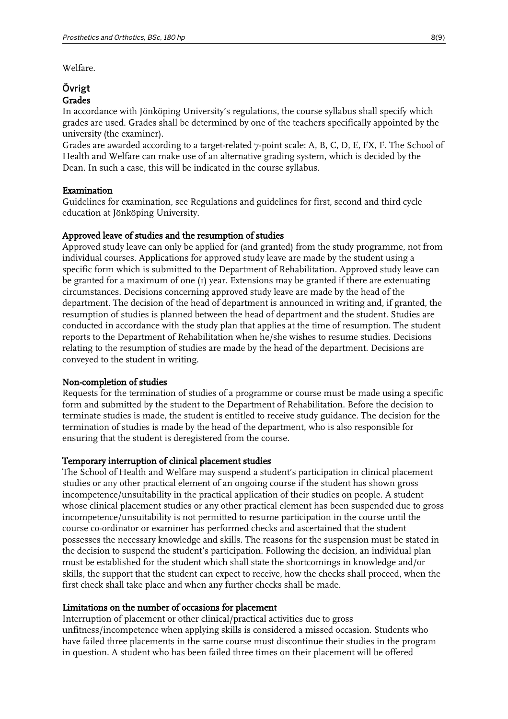Welfare.

## Övrigt Grades

In accordance with Jönköping University's regulations, the course syllabus shall specify which grades are used. Grades shall be determined by one of the teachers specifically appointed by the university (the examiner).

Grades are awarded according to a target-related 7-point scale: A, B, C, D, E, FX, F. The School of Health and Welfare can make use of an alternative grading system, which is decided by the Dean. In such a case, this will be indicated in the course syllabus.

## Examination

Guidelines for examination, see Regulations and guidelines for first, second and third cycle education at Jönköping University.

#### Approved leave of studies and the resumption of studies

Approved study leave can only be applied for (and granted) from the study programme, not from individual courses. Applications for approved study leave are made by the student using a specific form which is submitted to the Department of Rehabilitation. Approved study leave can be granted for a maximum of one (1) year. Extensions may be granted if there are extenuating circumstances. Decisions concerning approved study leave are made by the head of the department. The decision of the head of department is announced in writing and, if granted, the resumption of studies is planned between the head of department and the student. Studies are conducted in accordance with the study plan that applies at the time of resumption. The student reports to the Department of Rehabilitation when he/she wishes to resume studies. Decisions relating to the resumption of studies are made by the head of the department. Decisions are conveyed to the student in writing.

## Non-completion of studies

Requests for the termination of studies of a programme or course must be made using a specific form and submitted by the student to the Department of Rehabilitation. Before the decision to terminate studies is made, the student is entitled to receive study guidance. The decision for the termination of studies is made by the head of the department, who is also responsible for ensuring that the student is deregistered from the course.

#### Temporary interruption of clinical placement studies

The School of Health and Welfare may suspend a student's participation in clinical placement studies or any other practical element of an ongoing course if the student has shown gross incompetence/unsuitability in the practical application of their studies on people. A student whose clinical placement studies or any other practical element has been suspended due to gross incompetence/unsuitability is not permitted to resume participation in the course until the course co-ordinator or examiner has performed checks and ascertained that the student possesses the necessary knowledge and skills. The reasons for the suspension must be stated in the decision to suspend the student's participation. Following the decision, an individual plan must be established for the student which shall state the shortcomings in knowledge and/or skills, the support that the student can expect to receive, how the checks shall proceed, when the first check shall take place and when any further checks shall be made.

#### Limitations on the number of occasions for placement

Interruption of placement or other clinical/practical activities due to gross unfitness/incompetence when applying skills is considered a missed occasion. Students who have failed three placements in the same course must discontinue their studies in the program in question. A student who has been failed three times on their placement will be offered